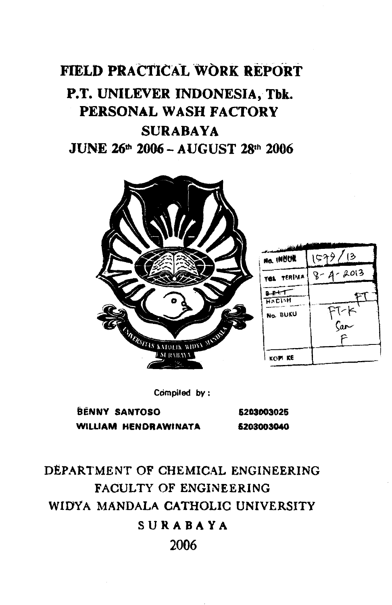# **FIELD PRACTICAL WORK REPORT P.T. UNILEVER INDONESIA, Tbk. PERSONAL WASH FACTORY SURABAYA JUNE 26" 2006** - **AUGUST 28" <sup>2006</sup>**





**Compiled by** :

**BENNY SANTOSO 6203003025 WILLIAM HENDRAWINATA 6203003040** 

**DEPARTMENT OF CHEMICAL ENGINEERING FACULTY OF ENGINEERING WIWA MANDALA CATHOLIC UNIVERSITY SURABAYA 2006**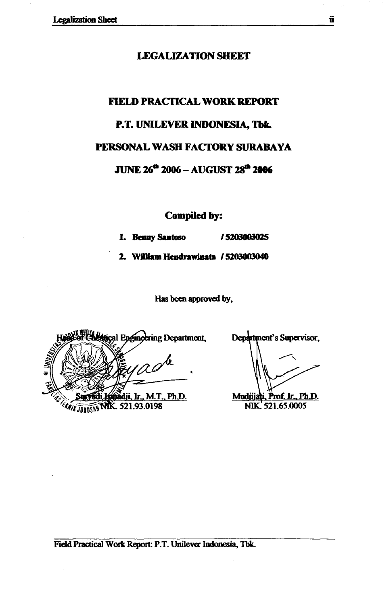#### **LEGALIZATION SHEET**

# **FIELD PRACTICAL WORK REPORT P.T. UNILEVER INDONESIA, Tbk. PERSONAL WASH FACTORY SURABAYA JUNE 26<sup>th</sup> 2006 - AUGUST 28<sup>th</sup> 2006**

**Compiled by:** 

**1. Benny Santoso / 5203003025** 

**2. WigirmHcdmniP.ta /5203W040** 

Has **been approved by,** 

al Engineering Department, <u>àdii, Ir., M.T., Ph.D.</u> **EANILY TURUSAN TVIIX. 521.93.0198** 

Department's Supervisor,

Mudjijati, Prof. Ir., Ph.D. NIK 521.65.0005

**Field Practical Work Report: P.T. Unilever Indonesia, Tbk.**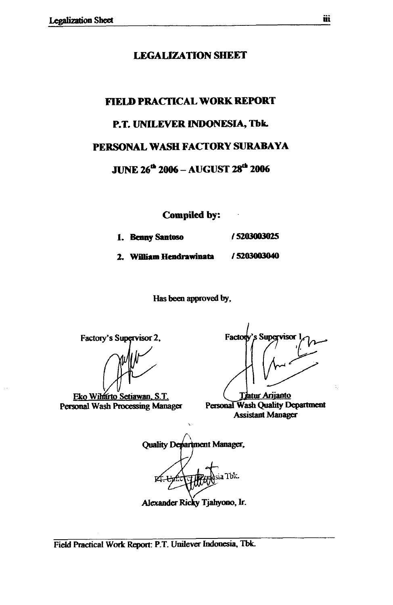#### **LEGALIZATION SHEET**

# **FIELD PRACTICAL WORK REPORT**

#### **P.T. UNLLEVER INDONESIA, Tbk.**

#### **PERSONAL WASH FACTORY SURABAYA**

**JUNE 26& 2006** - **AUGUST <sup>2006</sup>**

**Compiled by:** -

- **1. Benny Santoso 15203003025**
- **2. William Hendrawinata / 5203003040**

**Has been approved by,** 

Factory's Supervisor 2,

Eko Wilfarto Setiawan, S.T. **Personal Wash Processing Manager** 

Factory's Supervisor 1<br>
Aristan Arijanto **Aristan Arijanto Assistant Manager** 

Personal Wash Quality Department **Assistant Manager** 

**Quality Department Manager,** ia Tbk. Alexander Ricky Tjahyono, Ir.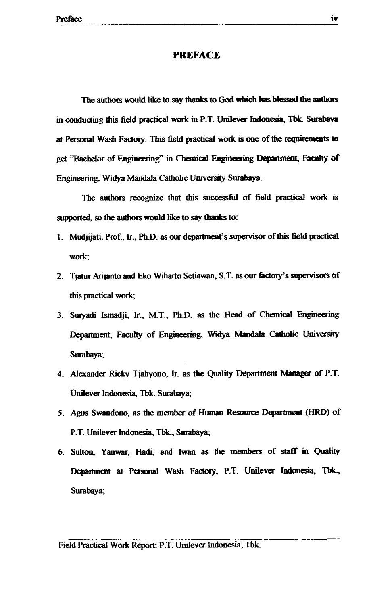#### **PREFACE**

The authors would like to say thanks to God which has blessed the authors in conducting this field practical work in P.T. Unilever Indonesia, Tbk. Surabaya at Personal Wash Factory. This field practical work is one of the requirements to get Wachelor of **l%@neering"** in **Chemical** Engineering Deparhnent, **Faculty** of **Engineering,** Widya Mandala Catholic University Surabaya

The authors recognize that this successful of field practical work is supported, so the authors would like to say thanks to:

- 1. Mudjijati, Prof., Ir., Ph.D. as our department's supervisor of this field practical work;
- 2. Tjatur Arijanto and Eko Wiharto Setiawan, S.T. as our factory's supervisors of this practical work;
- 3. Suryadi Ismadji, Ir., M.T., Ph.D. as the Head of Chemical Engineering Department, Faculty of Engineering, Widya Mandala Catholic University Surabaya;
- 4. Alexander **Ricky** Tjahyono. IT. as the **Quality** Dep0rtmenl **Maaager** of P.T. **Unilever Indonesia, Tbk. Surabaya;**
- **5. Agus Swandono, as the member of Human Resource Department (HRD) of** P.T. Unilever Indonesia, Tbk., Surabaya;
- **6. Sulton,** Yanwar, **Hadi,** and **Iwan as** the members of **staff** in Department at Personal Wash Factory, P.T. Unilever Indonesia, Tbk., Surabaya;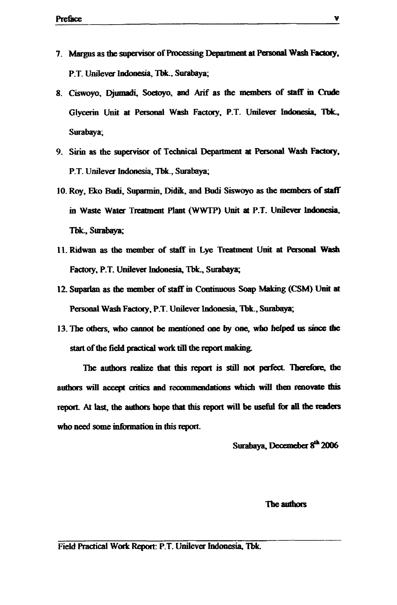- **7. Margus as the supervisor of Processing Department at Personal Wash Factory, P.T. Unilever Indonesia, Tbk., Surabaya;**
- **8. Ciswoyo, Djumadi, Soetoyo, and Arif as the** members **of** slaff **in** hde **Glycerin Unit at Personal Wash Factory, P.T. Unilever Indonesia, Tbk., Sura bay a;**
- 9. Sirin as the supervisor of Technical Department at Personal Wash Factory, **P.T. Unilever Indonesia, Tbk., Surabaya;**
- **10. Roy, Edro Budi, Suparmin. Didik. and Budi Siswoyo as the members of staff in Waste Water Treatment Plant (WWTP) Unit at P.T. Unilever Indonesia,** Tbk., Surabaya;
- **11. Ridwan as the member of staff m Lye Tm Unit at Persooal Wash**  Factory, P.T. Unilever Indonesia, Tbk., Surabaya;
- 12. Suparlan as the member of staff in Continuous Soap Making (CSM) Unit at Personal Wash Factory, P.T. Unilever Indonesia, Tbk., Surabaya;
- **13. Tbe otfiers,** who cannot **be mentioned one by one, who helped us** sioce the start of the field practical work till the report making.

**The authors realize that this** report **is still not** pafect **tbe**  authors will accept critics and recommendations which will then renovate this report. At last, the authors hope that this report will be useful for all the readers who **need some infinmation in this** report

Surabaya, Decemeber 8<sup>th</sup> 2006

The authors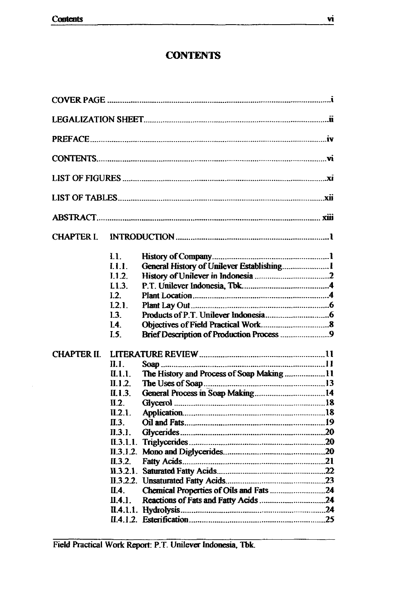## **CONTENTS**

| <b>CHAPTER I.</b>  |                      |                                           |  |
|--------------------|----------------------|-------------------------------------------|--|
|                    | L1.                  |                                           |  |
|                    | 1.1.1.               |                                           |  |
|                    | 1.1.2.               |                                           |  |
|                    | L1.3.                |                                           |  |
|                    | L2.                  |                                           |  |
|                    | L2.1.                |                                           |  |
|                    | I.3.                 |                                           |  |
|                    | I.4.                 |                                           |  |
|                    | I.5.                 | Brief Description of Production Process 9 |  |
| <b>CHAPTER II.</b> |                      |                                           |  |
|                    | $\mathbf{n}_{\perp}$ |                                           |  |
|                    | II.1.1.              | The History and Process of Soap Making 11 |  |
|                    | II.1.2.              |                                           |  |
|                    | II.1.3.              |                                           |  |
|                    | II.2.                |                                           |  |
|                    | IL2.1.               |                                           |  |
|                    | П.З.                 |                                           |  |
|                    | II.3.1.              |                                           |  |
|                    |                      |                                           |  |
|                    |                      |                                           |  |
|                    | IL3.2.               |                                           |  |
|                    |                      |                                           |  |
|                    | IL4.                 | Chemical Properties of Oils and Fats 24   |  |
|                    | II.4.1.              |                                           |  |
|                    |                      |                                           |  |
|                    |                      |                                           |  |
|                    |                      |                                           |  |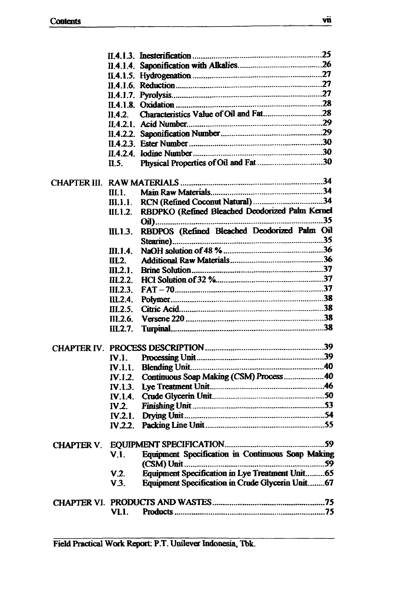|                   | II.4.2.                       |                                                   |  |
|-------------------|-------------------------------|---------------------------------------------------|--|
|                   |                               |                                                   |  |
|                   |                               |                                                   |  |
|                   |                               |                                                   |  |
|                   |                               |                                                   |  |
|                   | $\mathbf{n}$ . $\mathbf{s}$ . |                                                   |  |
|                   |                               |                                                   |  |
|                   |                               |                                                   |  |
|                   | III. 1.                       |                                                   |  |
|                   | III.1.1.                      |                                                   |  |
|                   | IIL1.2.                       | RBDPKO (Refined Bleached Deodorized Palm Kernel   |  |
|                   | III.1.3.                      | RBDPOS (Refined Bleached Deodorized Palm Oil      |  |
|                   |                               |                                                   |  |
|                   | <b><i>III.1.4.</i></b>        |                                                   |  |
|                   | IL2                           |                                                   |  |
|                   | $III.2.1$ .                   |                                                   |  |
|                   | IL2.2.                        |                                                   |  |
|                   | III.2.3.                      |                                                   |  |
|                   | III.2.4.                      |                                                   |  |
|                   | II.2.5.                       |                                                   |  |
|                   | III.2.6.                      |                                                   |  |
|                   | III.2.7.                      |                                                   |  |
|                   |                               |                                                   |  |
|                   | <b>IV.1.</b>                  |                                                   |  |
|                   | <b>IV.1.1.</b>                |                                                   |  |
|                   |                               | Continuous Soap Making (CSM) Process  40          |  |
|                   | <b>IV.1.2.</b>                |                                                   |  |
|                   | IV 1.4.                       |                                                   |  |
|                   | IV.2.                         |                                                   |  |
|                   | IV.2.1.                       |                                                   |  |
|                   |                               |                                                   |  |
|                   |                               |                                                   |  |
| <b>CHAPTER V.</b> |                               |                                                   |  |
|                   | V.I.                          | Equipment Specification in Continuous Soap Making |  |
|                   | V.2.                          | Equipment Specification in Lye Treatment Unit65   |  |
|                   | V.3.                          | Equipment Specification in Crude Glycerin Unit67  |  |
|                   |                               |                                                   |  |
|                   |                               |                                                   |  |
|                   | VLI.                          |                                                   |  |
|                   |                               |                                                   |  |

Field Practical Work Report: P.T. Unilever Indonesia, Tbk.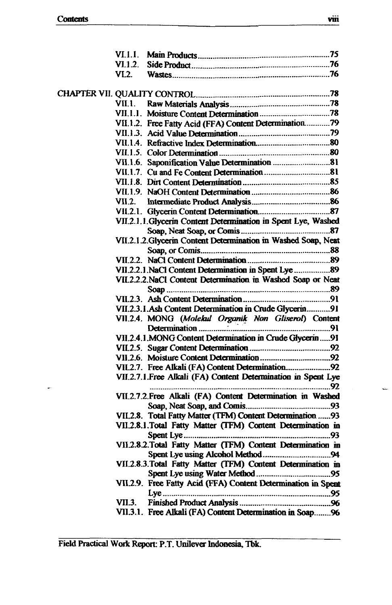ı.

| VI.1.2. |                                                                |  |
|---------|----------------------------------------------------------------|--|
| VI.2.   |                                                                |  |
|         |                                                                |  |
| VII.1   |                                                                |  |
|         |                                                                |  |
|         | VII.1.2. Free Fatty Acid (FFA) Content Determination79         |  |
|         |                                                                |  |
|         |                                                                |  |
|         |                                                                |  |
|         | VII.1.6. Saponification Value Determination 81                 |  |
|         |                                                                |  |
|         |                                                                |  |
|         |                                                                |  |
| VII 2.  |                                                                |  |
|         |                                                                |  |
|         | VII.2.1.1. Glycerin Content Determination in Spent Lye, Washed |  |
|         |                                                                |  |
|         | VII.2.1.2. Glycerin Content Determination in Washed Soap, Neat |  |
|         |                                                                |  |
|         |                                                                |  |
|         | VII.2.2.1. NaCl Content Determination in Spent Lye  89         |  |
|         | VII.2.2.2. NaCl Content Determination in Washed Soap or Neat   |  |
|         |                                                                |  |
|         |                                                                |  |
|         | VII.2.3.1. Ash Content Determination in Crude Glycerin91       |  |
|         | VII.2.4. MONG (Molekul Organik Non Gliserol) Content           |  |
|         |                                                                |  |
|         | VII.2.4.1. MONG Content Determination in Crude Glycerin91      |  |
|         |                                                                |  |
|         |                                                                |  |
|         |                                                                |  |
|         | VII.2.7.1. Free Alkali (FA) Content Determination in Spent Lye |  |
|         | VII.2.7.2. Free Alkali (FA) Content Determination in Washed    |  |
|         |                                                                |  |
|         | VII.2.8. Total Fatty Matter (TFM) Content Determination 93     |  |
|         | VII.2.8.1. Total Fatty Matter (TFM) Content Determination in   |  |
|         |                                                                |  |
|         | VII.2.8.2. Total Fatty Matter (TFM) Content Determination in   |  |
|         |                                                                |  |
|         | VII.2.8.3. Total Fatty Matter (TFM) Content Determination in   |  |
|         |                                                                |  |
|         | VII.2.9. Free Fatty Acid (FFA) Content Determination in Spent  |  |
|         |                                                                |  |
|         |                                                                |  |
|         | VII.3.1. Free Alkali (FA) Content Determination in Soap96      |  |
|         |                                                                |  |

Field Practical Work Report: P.T. Unilever Indonesia, Tbk.

 $\frac{1}{2}$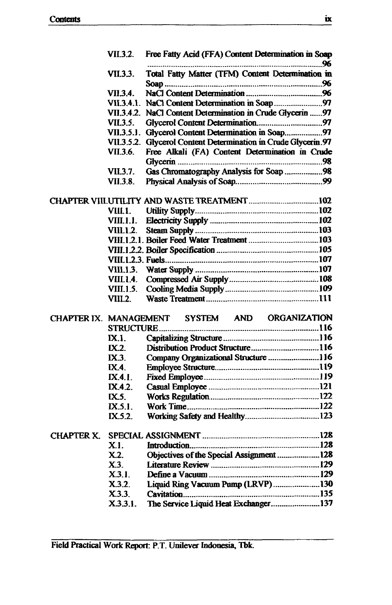|                        | <b>VII.3.2.</b>   | Free Fatty Acid (FFA) Content Determination in Soap            | 96 |
|------------------------|-------------------|----------------------------------------------------------------|----|
|                        | VII.3.3.          | Total Fatty Matter (TFM) Content Determination in              |    |
|                        | VII.3.4.          |                                                                |    |
|                        |                   |                                                                |    |
|                        |                   | VII.3.4.2. NaCl Content Determination in Crude Glycerin 97     |    |
|                        | <b>VII.3.5.</b>   |                                                                |    |
|                        |                   | VII.3.5.1. Glycerol Content Determination in Soap97            |    |
|                        |                   | VII.3.5.2. Glycerol Content Determination in Crude Glycerin.97 |    |
|                        | <b>VII.3.6.</b>   | Free Alkali (FA) Content Determination in Crude                |    |
|                        |                   |                                                                |    |
|                        | <b>VII.3.7.</b>   | Gas Chromatography Analysis for Soap 98                        |    |
|                        | <b>VII.3.8.</b>   |                                                                |    |
|                        |                   |                                                                |    |
|                        |                   |                                                                |    |
|                        | VIII.1.           |                                                                |    |
|                        |                   |                                                                |    |
|                        | VIII.1.2.         |                                                                |    |
|                        |                   |                                                                |    |
|                        |                   |                                                                |    |
|                        |                   |                                                                |    |
|                        |                   |                                                                |    |
|                        | VIII.1.4.         |                                                                |    |
|                        | VIII.1.5.         |                                                                |    |
|                        | VIII.2.           |                                                                |    |
|                        |                   |                                                                |    |
| CHAPTER IX. MANAGEMENT |                   | SYSTEM AND ORGANIZATION                                        |    |
|                        | <b>STRUCTURE</b>  |                                                                |    |
|                        | $\mathbf{IX}$ .1. |                                                                |    |
|                        | $\mathbf{IX}$ .   |                                                                |    |
|                        | IX.3.             | Company Organizational Structure  116                          |    |
|                        | <b>IX.4.</b>      |                                                                |    |
|                        | IX.4.1.           |                                                                |    |
|                        | IX.4.2.           |                                                                |    |
|                        | $\mathbf{X}$ .    |                                                                |    |
|                        | IX.5.1.           |                                                                |    |
|                        | IX.5.2.           |                                                                |    |
|                        |                   |                                                                |    |
| <b>CHAPTER X.</b>      |                   |                                                                |    |
|                        | X.I.              |                                                                |    |
|                        | X.2.              | Objectives of the Special Assignment 128                       |    |
|                        | X.3.              |                                                                |    |
|                        | X3.1.             |                                                                |    |
|                        | X.3.2.            | Liquid Ring Vacuum Pump (LRVP)130                              |    |
|                        | X.3.3.            |                                                                |    |
|                        | X.3.3.1.          | The Service Liquid Heat Exchanger137                           |    |
|                        |                   |                                                                |    |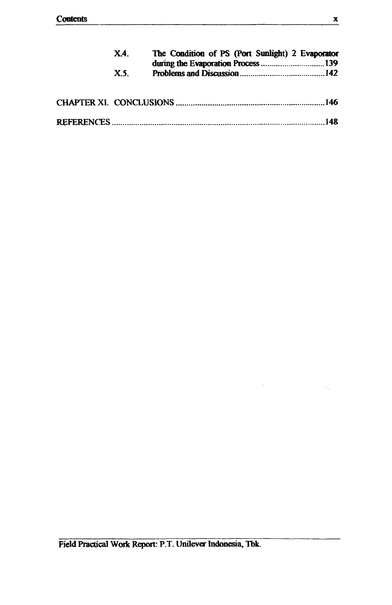| X4  | The Condition of PS (Port Sunlight) 2 Evaporator |  |  |
|-----|--------------------------------------------------|--|--|
| X.5 |                                                  |  |  |
|     |                                                  |  |  |
|     |                                                  |  |  |

 $\hat{\tau}_i$ 

k.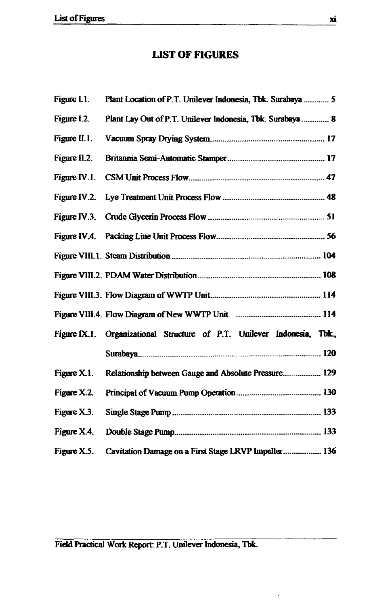### **LIST OF FIGURES**

| Figure L1.   | Plant Location of P.T. Unilever Indonesia, Tbk. Surabaya  5             |
|--------------|-------------------------------------------------------------------------|
| Figure I.2.  | Plant Lay Out of P.T. Unilever Indonesia, Tbk. Surabaya 8               |
| Figure II.1. |                                                                         |
| Figure II.2. |                                                                         |
| Figure IV.1. |                                                                         |
| Figure IV.2. |                                                                         |
|              |                                                                         |
|              |                                                                         |
|              |                                                                         |
|              |                                                                         |
|              |                                                                         |
|              |                                                                         |
|              | Figure IX.1. Organizational Structure of P.T. Unilever Indonesia, Tbk., |
|              |                                                                         |
| Figure X.1.  | Relationship between Gauge and Absolute Pressure 129                    |
| Figure X.2.  |                                                                         |
| Figure X.3.  |                                                                         |
| Figure X.4.  |                                                                         |
| Figure X.5.  | Cavitation Damage on a First Stage LRVP Impeller 136                    |

 $Field Practical Work Report: P.T. Unilever Indonesia, Tbk.$ 

 $\frac{1}{2}$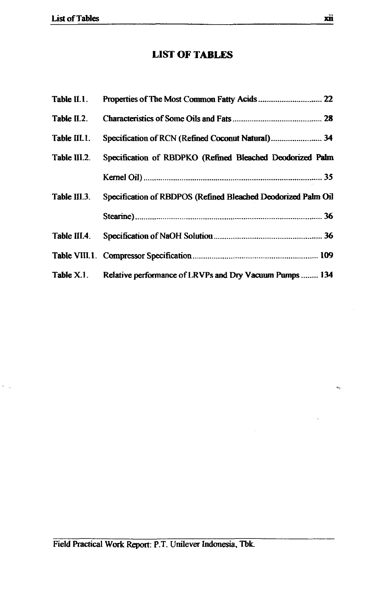$\tilde{\gamma}_{\rm{max}}$ 

### **LIST OF TABLES**

| Table II.1.  |                                                                    |
|--------------|--------------------------------------------------------------------|
| Table II.2.  |                                                                    |
| Table III.1. | Specification of RCN (Refined Coconut Natural) 34                  |
| Table III.2. | Specification of RBDPKO (Refined Bleached Deodorized Palm          |
|              |                                                                    |
| Table III.3. | Specification of RBDPOS (Refined Bleached Deodorized Palm Oil      |
|              |                                                                    |
| Table III.4. |                                                                    |
|              |                                                                    |
|              | Table X.1. Relative performance of LRVPs and Dry Vacuum Pumps  134 |

 $\hat{\mathbf{v}}_{\mathbf{t},i}$